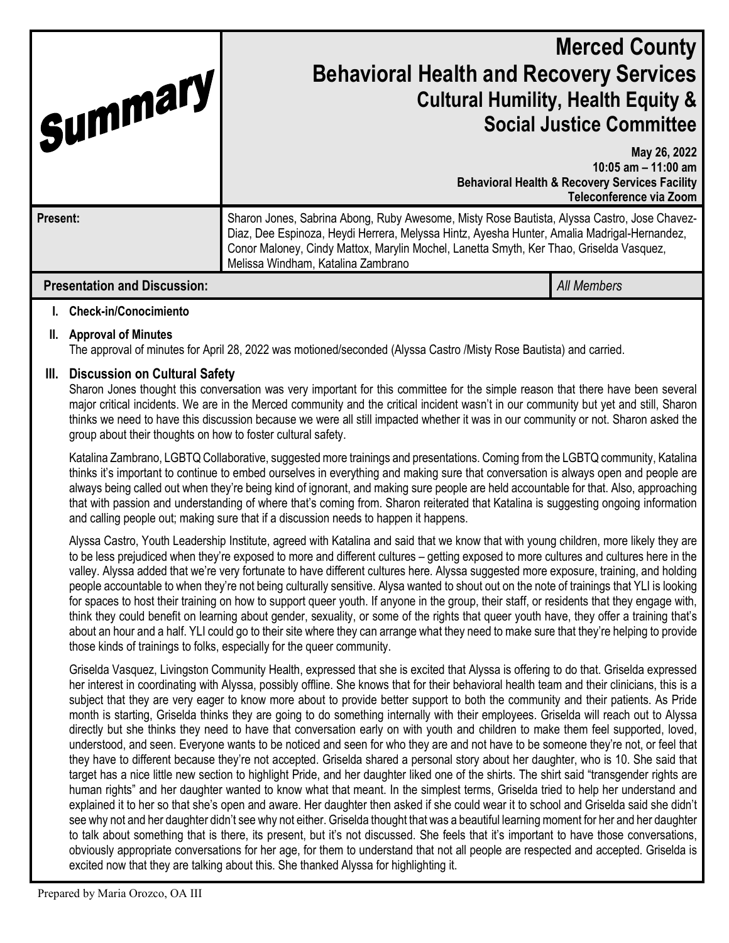| Summary                             | <b>Merced County</b><br><b>Behavioral Health and Recovery Services</b><br><b>Cultural Humility, Health Equity &amp;</b><br><b>Social Justice Committee</b>                                                                                                                                                                  |                                                                                                                               |
|-------------------------------------|-----------------------------------------------------------------------------------------------------------------------------------------------------------------------------------------------------------------------------------------------------------------------------------------------------------------------------|-------------------------------------------------------------------------------------------------------------------------------|
|                                     |                                                                                                                                                                                                                                                                                                                             | May 26, 2022<br>10:05 am $-$ 11:00 am<br><b>Behavioral Health &amp; Recovery Services Facility</b><br>Teleconference via Zoom |
| Present:                            | Sharon Jones, Sabrina Abong, Ruby Awesome, Misty Rose Bautista, Alyssa Castro, Jose Chavez-<br>Diaz, Dee Espinoza, Heydi Herrera, Melyssa Hintz, Ayesha Hunter, Amalia Madrigal-Hernandez,<br>Conor Maloney, Cindy Mattox, Marylin Mochel, Lanetta Smyth, Ker Thao, Griselda Vasquez,<br>Melissa Windham, Katalina Zambrano |                                                                                                                               |
| <b>Presentation and Discussion:</b> |                                                                                                                                                                                                                                                                                                                             | <b>All Members</b>                                                                                                            |

### **I. Check-in/Conocimiento**

### **II. Approval of Minutes**

The approval of minutes for April 28, 2022 was motioned/seconded (Alyssa Castro /Misty Rose Bautista) and carried.

## **III. Discussion on Cultural Safety**

Sharon Jones thought this conversation was very important for this committee for the simple reason that there have been several major critical incidents. We are in the Merced community and the critical incident wasn't in our community but yet and still, Sharon thinks we need to have this discussion because we were all still impacted whether it was in our community or not. Sharon asked the group about their thoughts on how to foster cultural safety.

Katalina Zambrano, LGBTQ Collaborative, suggested more trainings and presentations. Coming from the LGBTQ community, Katalina thinks it's important to continue to embed ourselves in everything and making sure that conversation is always open and people are always being called out when they're being kind of ignorant, and making sure people are held accountable for that. Also, approaching that with passion and understanding of where that's coming from. Sharon reiterated that Katalina is suggesting ongoing information and calling people out; making sure that if a discussion needs to happen it happens.

Alyssa Castro, Youth Leadership Institute, agreed with Katalina and said that we know that with young children, more likely they are to be less prejudiced when they're exposed to more and different cultures – getting exposed to more cultures and cultures here in the valley. Alyssa added that we're very fortunate to have different cultures here. Alyssa suggested more exposure, training, and holding people accountable to when they're not being culturally sensitive. Alysa wanted to shout out on the note of trainings that YLI is looking for spaces to host their training on how to support queer youth. If anyone in the group, their staff, or residents that they engage with, think they could benefit on learning about gender, sexuality, or some of the rights that queer youth have, they offer a training that's about an hour and a half. YLI could go to their site where they can arrange what they need to make sure that they're helping to provide those kinds of trainings to folks, especially for the queer community.

Griselda Vasquez, Livingston Community Health, expressed that she is excited that Alyssa is offering to do that. Griselda expressed her interest in coordinating with Alyssa, possibly offline. She knows that for their behavioral health team and their clinicians, this is a subject that they are very eager to know more about to provide better support to both the community and their patients. As Pride month is starting, Griselda thinks they are going to do something internally with their employees. Griselda will reach out to Alyssa directly but she thinks they need to have that conversation early on with youth and children to make them feel supported, loved, understood, and seen. Everyone wants to be noticed and seen for who they are and not have to be someone they're not, or feel that they have to different because they're not accepted. Griselda shared a personal story about her daughter, who is 10. She said that target has a nice little new section to highlight Pride, and her daughter liked one of the shirts. The shirt said "transgender rights are human rights" and her daughter wanted to know what that meant. In the simplest terms, Griselda tried to help her understand and explained it to her so that she's open and aware. Her daughter then asked if she could wear it to school and Griselda said she didn't see why not and her daughter didn't see why not either. Griselda thought that was a beautiful learning moment for her and her daughter to talk about something that is there, its present, but it's not discussed. She feels that it's important to have those conversations, obviously appropriate conversations for her age, for them to understand that not all people are respected and accepted. Griselda is excited now that they are talking about this. She thanked Alyssa for highlighting it.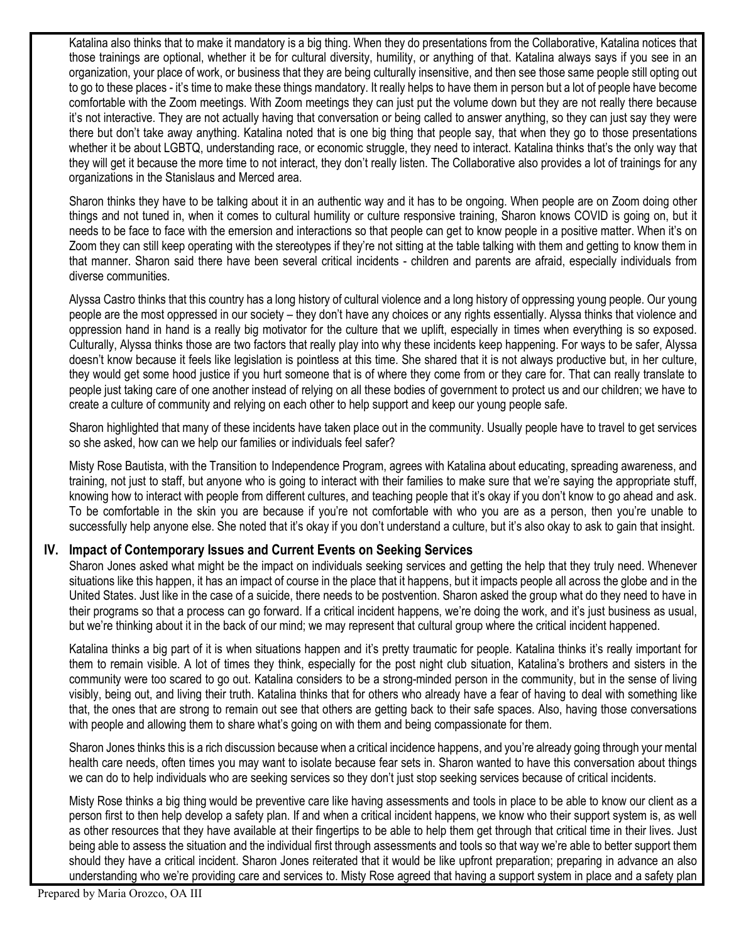Katalina also thinks that to make it mandatory is a big thing. When they do presentations from the Collaborative, Katalina notices that those trainings are optional, whether it be for cultural diversity, humility, or anything of that. Katalina always says if you see in an organization, your place of work, or business that they are being culturally insensitive, and then see those same people still opting out to go to these places - it's time to make these things mandatory. It really helps to have them in person but a lot of people have become comfortable with the Zoom meetings. With Zoom meetings they can just put the volume down but they are not really there because it's not interactive. They are not actually having that conversation or being called to answer anything, so they can just say they were there but don't take away anything. Katalina noted that is one big thing that people say, that when they go to those presentations whether it be about LGBTQ, understanding race, or economic struggle, they need to interact. Katalina thinks that's the only way that they will get it because the more time to not interact, they don't really listen. The Collaborative also provides a lot of trainings for any organizations in the Stanislaus and Merced area.

Sharon thinks they have to be talking about it in an authentic way and it has to be ongoing. When people are on Zoom doing other things and not tuned in, when it comes to cultural humility or culture responsive training, Sharon knows COVID is going on, but it needs to be face to face with the emersion and interactions so that people can get to know people in a positive matter. When it's on Zoom they can still keep operating with the stereotypes if they're not sitting at the table talking with them and getting to know them in that manner. Sharon said there have been several critical incidents - children and parents are afraid, especially individuals from diverse communities.

Alyssa Castro thinks that this country has a long history of cultural violence and a long history of oppressing young people. Our young people are the most oppressed in our society – they don't have any choices or any rights essentially. Alyssa thinks that violence and oppression hand in hand is a really big motivator for the culture that we uplift, especially in times when everything is so exposed. Culturally, Alyssa thinks those are two factors that really play into why these incidents keep happening. For ways to be safer, Alyssa doesn't know because it feels like legislation is pointless at this time. She shared that it is not always productive but, in her culture, they would get some hood justice if you hurt someone that is of where they come from or they care for. That can really translate to people just taking care of one another instead of relying on all these bodies of government to protect us and our children; we have to create a culture of community and relying on each other to help support and keep our young people safe.

Sharon highlighted that many of these incidents have taken place out in the community. Usually people have to travel to get services so she asked, how can we help our families or individuals feel safer?

Misty Rose Bautista, with the Transition to Independence Program, agrees with Katalina about educating, spreading awareness, and training, not just to staff, but anyone who is going to interact with their families to make sure that we're saying the appropriate stuff, knowing how to interact with people from different cultures, and teaching people that it's okay if you don't know to go ahead and ask. To be comfortable in the skin you are because if you're not comfortable with who you are as a person, then you're unable to successfully help anyone else. She noted that it's okay if you don't understand a culture, but it's also okay to ask to gain that insight.

# **IV. Impact of Contemporary Issues and Current Events on Seeking Services**

Sharon Jones asked what might be the impact on individuals seeking services and getting the help that they truly need. Whenever situations like this happen, it has an impact of course in the place that it happens, but it impacts people all across the globe and in the United States. Just like in the case of a suicide, there needs to be postvention. Sharon asked the group what do they need to have in their programs so that a process can go forward. If a critical incident happens, we're doing the work, and it's just business as usual, but we're thinking about it in the back of our mind; we may represent that cultural group where the critical incident happened.

Katalina thinks a big part of it is when situations happen and it's pretty traumatic for people. Katalina thinks it's really important for them to remain visible. A lot of times they think, especially for the post night club situation, Katalina's brothers and sisters in the community were too scared to go out. Katalina considers to be a strong-minded person in the community, but in the sense of living visibly, being out, and living their truth. Katalina thinks that for others who already have a fear of having to deal with something like that, the ones that are strong to remain out see that others are getting back to their safe spaces. Also, having those conversations with people and allowing them to share what's going on with them and being compassionate for them.

Sharon Jones thinks this is a rich discussion because when a critical incidence happens, and you're already going through your mental health care needs, often times you may want to isolate because fear sets in. Sharon wanted to have this conversation about things we can do to help individuals who are seeking services so they don't just stop seeking services because of critical incidents.

Misty Rose thinks a big thing would be preventive care like having assessments and tools in place to be able to know our client as a person first to then help develop a safety plan. If and when a critical incident happens, we know who their support system is, as well as other resources that they have available at their fingertips to be able to help them get through that critical time in their lives. Just being able to assess the situation and the individual first through assessments and tools so that way we're able to better support them should they have a critical incident. Sharon Jones reiterated that it would be like upfront preparation; preparing in advance an also understanding who we're providing care and services to. Misty Rose agreed that having a support system in place and a safety plan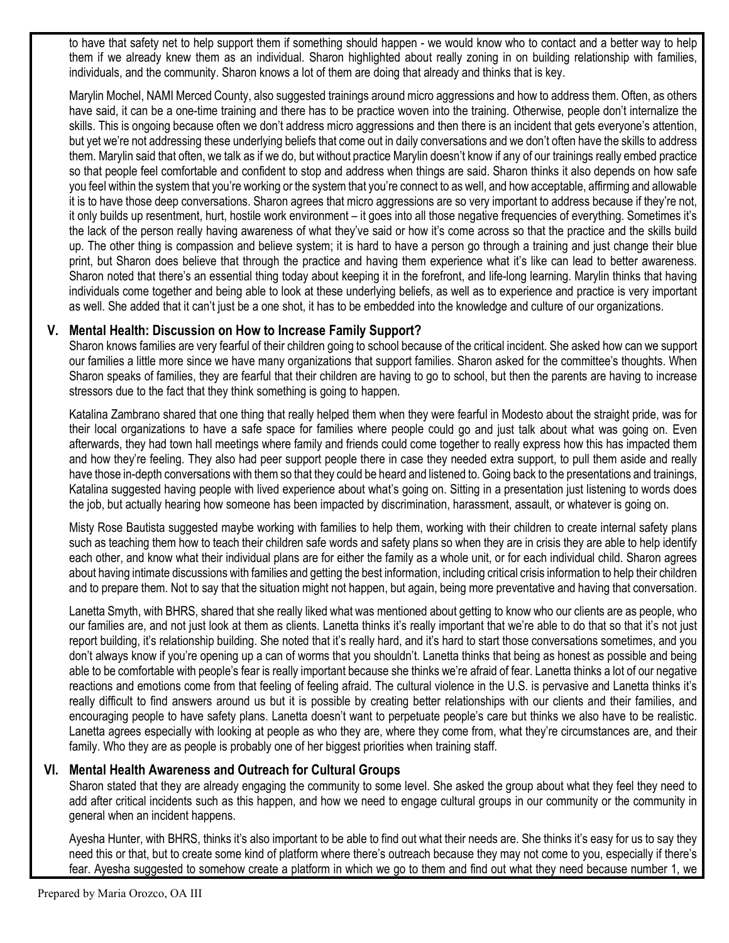to have that safety net to help support them if something should happen - we would know who to contact and a better way to help them if we already knew them as an individual. Sharon highlighted about really zoning in on building relationship with families, individuals, and the community. Sharon knows a lot of them are doing that already and thinks that is key.

Marylin Mochel, NAMI Merced County, also suggested trainings around micro aggressions and how to address them. Often, as others have said, it can be a one-time training and there has to be practice woven into the training. Otherwise, people don't internalize the skills. This is ongoing because often we don't address micro aggressions and then there is an incident that gets everyone's attention, but yet we're not addressing these underlying beliefs that come out in daily conversations and we don't often have the skills to address them. Marylin said that often, we talk as if we do, but without practice Marylin doesn't know if any of our trainings really embed practice so that people feel comfortable and confident to stop and address when things are said. Sharon thinks it also depends on how safe you feel within the system that you're working or the system that you're connect to as well, and how acceptable, affirming and allowable it is to have those deep conversations. Sharon agrees that micro aggressions are so very important to address because if they're not, it only builds up resentment, hurt, hostile work environment – it goes into all those negative frequencies of everything. Sometimes it's the lack of the person really having awareness of what they've said or how it's come across so that the practice and the skills build up. The other thing is compassion and believe system; it is hard to have a person go through a training and just change their blue print, but Sharon does believe that through the practice and having them experience what it's like can lead to better awareness. Sharon noted that there's an essential thing today about keeping it in the forefront, and life-long learning. Marylin thinks that having individuals come together and being able to look at these underlying beliefs, as well as to experience and practice is very important as well. She added that it can't just be a one shot, it has to be embedded into the knowledge and culture of our organizations.

## **V. Mental Health: Discussion on How to Increase Family Support?**

Sharon knows families are very fearful of their children going to school because of the critical incident. She asked how can we support our families a little more since we have many organizations that support families. Sharon asked for the committee's thoughts. When Sharon speaks of families, they are fearful that their children are having to go to school, but then the parents are having to increase stressors due to the fact that they think something is going to happen.

Katalina Zambrano shared that one thing that really helped them when they were fearful in Modesto about the straight pride, was for their local organizations to have a safe space for families where people could go and just talk about what was going on. Even afterwards, they had town hall meetings where family and friends could come together to really express how this has impacted them and how they're feeling. They also had peer support people there in case they needed extra support, to pull them aside and really have those in-depth conversations with them so that they could be heard and listened to. Going back to the presentations and trainings, Katalina suggested having people with lived experience about what's going on. Sitting in a presentation just listening to words does the job, but actually hearing how someone has been impacted by discrimination, harassment, assault, or whatever is going on.

Misty Rose Bautista suggested maybe working with families to help them, working with their children to create internal safety plans such as teaching them how to teach their children safe words and safety plans so when they are in crisis they are able to help identify each other, and know what their individual plans are for either the family as a whole unit, or for each individual child. Sharon agrees about having intimate discussions with families and getting the best information, including critical crisis information to help their children and to prepare them. Not to say that the situation might not happen, but again, being more preventative and having that conversation.

Lanetta Smyth, with BHRS, shared that she really liked what was mentioned about getting to know who our clients are as people, who our families are, and not just look at them as clients. Lanetta thinks it's really important that we're able to do that so that it's not just report building, it's relationship building. She noted that it's really hard, and it's hard to start those conversations sometimes, and you don't always know if you're opening up a can of worms that you shouldn't. Lanetta thinks that being as honest as possible and being able to be comfortable with people's fear is really important because she thinks we're afraid of fear. Lanetta thinks a lot of our negative reactions and emotions come from that feeling of feeling afraid. The cultural violence in the U.S. is pervasive and Lanetta thinks it's really difficult to find answers around us but it is possible by creating better relationships with our clients and their families, and encouraging people to have safety plans. Lanetta doesn't want to perpetuate people's care but thinks we also have to be realistic. Lanetta agrees especially with looking at people as who they are, where they come from, what they're circumstances are, and their family. Who they are as people is probably one of her biggest priorities when training staff.

### **VI. Mental Health Awareness and Outreach for Cultural Groups**

Sharon stated that they are already engaging the community to some level. She asked the group about what they feel they need to add after critical incidents such as this happen, and how we need to engage cultural groups in our community or the community in general when an incident happens.

Ayesha Hunter, with BHRS, thinks it's also important to be able to find out what their needs are. She thinks it's easy for us to say they need this or that, but to create some kind of platform where there's outreach because they may not come to you, especially if there's fear. Ayesha suggested to somehow create a platform in which we go to them and find out what they need because number 1, we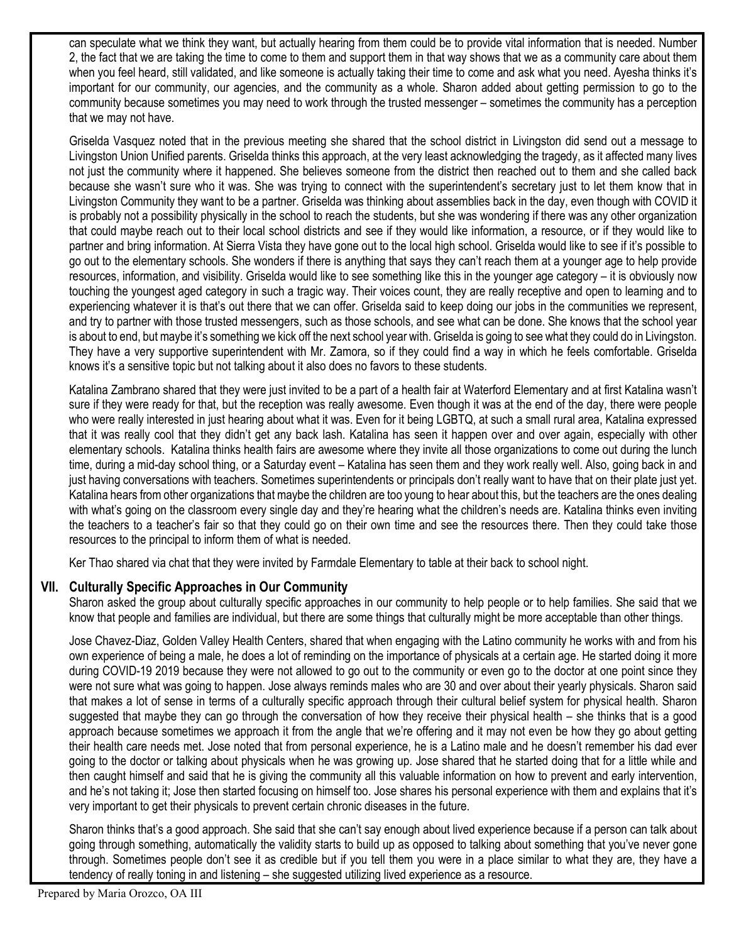can speculate what we think they want, but actually hearing from them could be to provide vital information that is needed. Number 2, the fact that we are taking the time to come to them and support them in that way shows that we as a community care about them when you feel heard, still validated, and like someone is actually taking their time to come and ask what you need. Ayesha thinks it's important for our community, our agencies, and the community as a whole. Sharon added about getting permission to go to the community because sometimes you may need to work through the trusted messenger – sometimes the community has a perception that we may not have.

Griselda Vasquez noted that in the previous meeting she shared that the school district in Livingston did send out a message to Livingston Union Unified parents. Griselda thinks this approach, at the very least acknowledging the tragedy, as it affected many lives not just the community where it happened. She believes someone from the district then reached out to them and she called back because she wasn't sure who it was. She was trying to connect with the superintendent's secretary just to let them know that in Livingston Community they want to be a partner. Griselda was thinking about assemblies back in the day, even though with COVID it is probably not a possibility physically in the school to reach the students, but she was wondering if there was any other organization that could maybe reach out to their local school districts and see if they would like information, a resource, or if they would like to partner and bring information. At Sierra Vista they have gone out to the local high school. Griselda would like to see if it's possible to go out to the elementary schools. She wonders if there is anything that says they can't reach them at a younger age to help provide resources, information, and visibility. Griselda would like to see something like this in the younger age category – it is obviously now touching the youngest aged category in such a tragic way. Their voices count, they are really receptive and open to learning and to experiencing whatever it is that's out there that we can offer. Griselda said to keep doing our jobs in the communities we represent, and try to partner with those trusted messengers, such as those schools, and see what can be done. She knows that the school year is about to end, but maybe it's something we kick off the next school year with. Griselda is going to see what they could do in Livingston. They have a very supportive superintendent with Mr. Zamora, so if they could find a way in which he feels comfortable. Griselda knows it's a sensitive topic but not talking about it also does no favors to these students.

Katalina Zambrano shared that they were just invited to be a part of a health fair at Waterford Elementary and at first Katalina wasn't sure if they were ready for that, but the reception was really awesome. Even though it was at the end of the day, there were people who were really interested in just hearing about what it was. Even for it being LGBTQ, at such a small rural area, Katalina expressed that it was really cool that they didn't get any back lash. Katalina has seen it happen over and over again, especially with other elementary schools. Katalina thinks health fairs are awesome where they invite all those organizations to come out during the lunch time, during a mid-day school thing, or a Saturday event – Katalina has seen them and they work really well. Also, going back in and just having conversations with teachers. Sometimes superintendents or principals don't really want to have that on their plate just yet. Katalina hears from other organizations that maybe the children are too young to hear about this, but the teachers are the ones dealing with what's going on the classroom every single day and they're hearing what the children's needs are. Katalina thinks even inviting the teachers to a teacher's fair so that they could go on their own time and see the resources there. Then they could take those resources to the principal to inform them of what is needed.

Ker Thao shared via chat that they were invited by Farmdale Elementary to table at their back to school night.

# **VII. Culturally Specific Approaches in Our Community**

Sharon asked the group about culturally specific approaches in our community to help people or to help families. She said that we know that people and families are individual, but there are some things that culturally might be more acceptable than other things.

Jose Chavez-Diaz, Golden Valley Health Centers, shared that when engaging with the Latino community he works with and from his own experience of being a male, he does a lot of reminding on the importance of physicals at a certain age. He started doing it more during COVID-19 2019 because they were not allowed to go out to the community or even go to the doctor at one point since they were not sure what was going to happen. Jose always reminds males who are 30 and over about their yearly physicals. Sharon said that makes a lot of sense in terms of a culturally specific approach through their cultural belief system for physical health. Sharon suggested that maybe they can go through the conversation of how they receive their physical health – she thinks that is a good approach because sometimes we approach it from the angle that we're offering and it may not even be how they go about getting their health care needs met. Jose noted that from personal experience, he is a Latino male and he doesn't remember his dad ever going to the doctor or talking about physicals when he was growing up. Jose shared that he started doing that for a little while and then caught himself and said that he is giving the community all this valuable information on how to prevent and early intervention, and he's not taking it; Jose then started focusing on himself too. Jose shares his personal experience with them and explains that it's very important to get their physicals to prevent certain chronic diseases in the future.

Sharon thinks that's a good approach. She said that she can't say enough about lived experience because if a person can talk about going through something, automatically the validity starts to build up as opposed to talking about something that you've never gone through. Sometimes people don't see it as credible but if you tell them you were in a place similar to what they are, they have a tendency of really toning in and listening – she suggested utilizing lived experience as a resource.